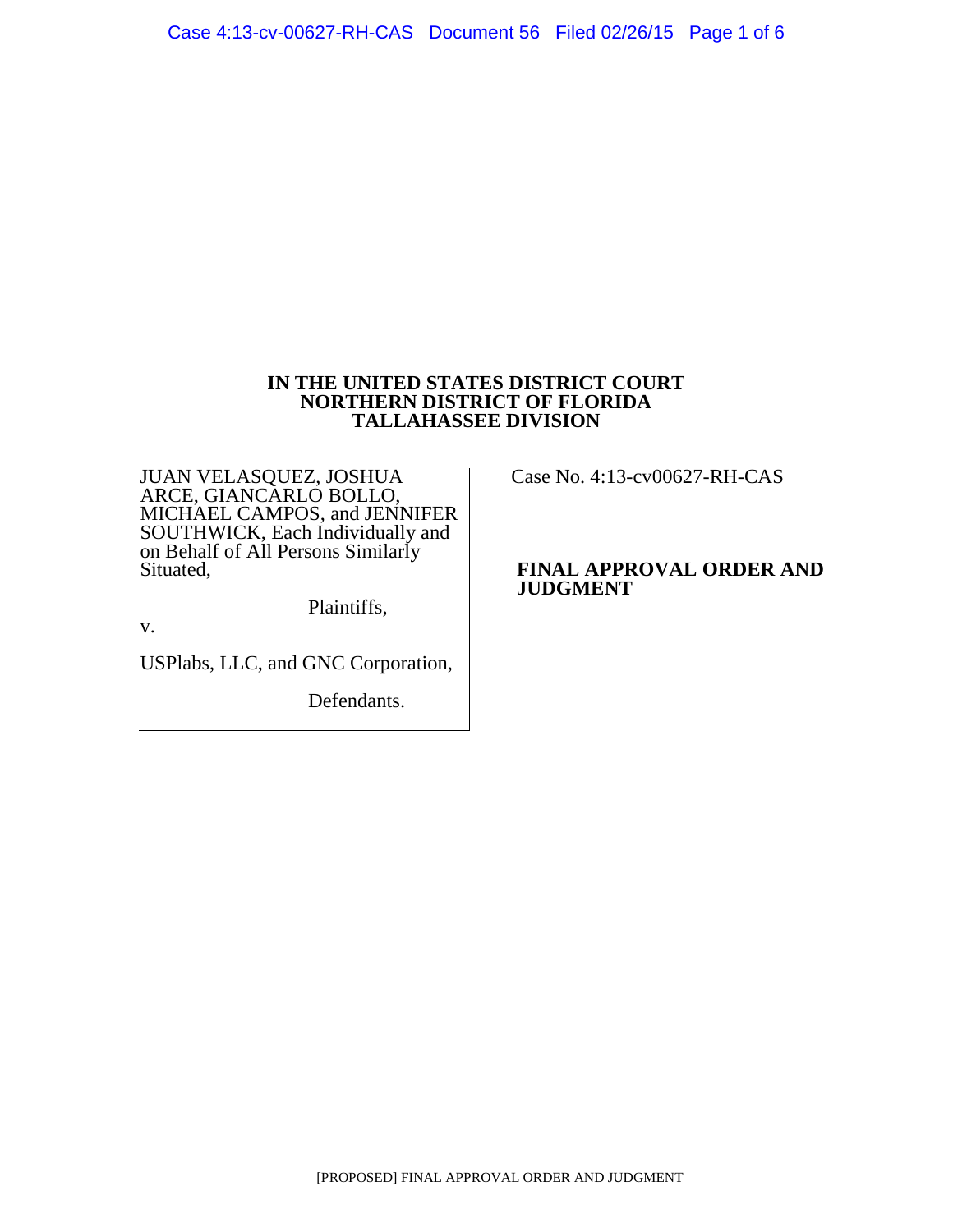### **IN THE UNITED STATES DISTRICT COURT NORTHERN DISTRICT OF FLORIDA TALLAHASSEE DIVISION**

JUAN VELASQUEZ, JOSHUA ARCE, GIANCARLO BOLLO, MICHAEL CAMPOS, and JENNIFER SOUTHWICK, Each Individually and on Behalf of All Persons Similarly Situated,

Plaintiffs,

v.

USPlabs, LLC, and GNC Corporation,

Defendants.

Case No. 4:13-cv00627-RH-CAS

### **FINAL APPROVAL ORDER AND JUDGMENT**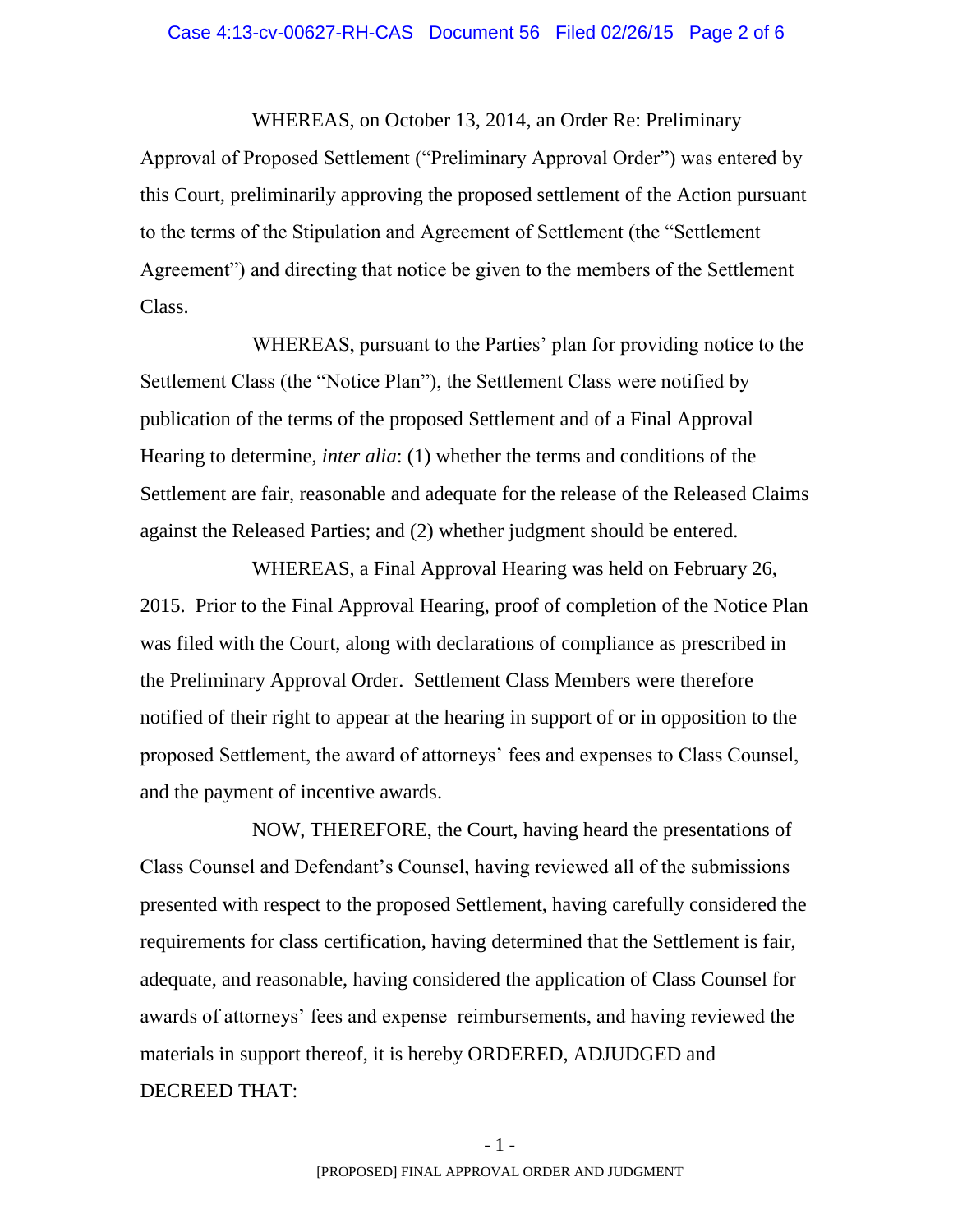WHEREAS, on October 13, 2014, an Order Re: Preliminary Approval of Proposed Settlement ("Preliminary Approval Order") was entered by this Court, preliminarily approving the proposed settlement of the Action pursuant to the terms of the Stipulation and Agreement of Settlement (the "Settlement Agreement") and directing that notice be given to the members of the Settlement Class.

WHEREAS, pursuant to the Parties' plan for providing notice to the Settlement Class (the "Notice Plan"), the Settlement Class were notified by publication of the terms of the proposed Settlement and of a Final Approval Hearing to determine, *inter alia*: (1) whether the terms and conditions of the Settlement are fair, reasonable and adequate for the release of the Released Claims against the Released Parties; and (2) whether judgment should be entered.

WHEREAS, a Final Approval Hearing was held on February 26, 2015. Prior to the Final Approval Hearing, proof of completion of the Notice Plan was filed with the Court, along with declarations of compliance as prescribed in the Preliminary Approval Order. Settlement Class Members were therefore notified of their right to appear at the hearing in support of or in opposition to the proposed Settlement, the award of attorneys' fees and expenses to Class Counsel, and the payment of incentive awards.

NOW, THEREFORE, the Court, having heard the presentations of Class Counsel and Defendant's Counsel, having reviewed all of the submissions presented with respect to the proposed Settlement, having carefully considered the requirements for class certification, having determined that the Settlement is fair, adequate, and reasonable, having considered the application of Class Counsel for awards of attorneys' fees and expense reimbursements, and having reviewed the materials in support thereof, it is hereby ORDERED, ADJUDGED and DECREED THAT: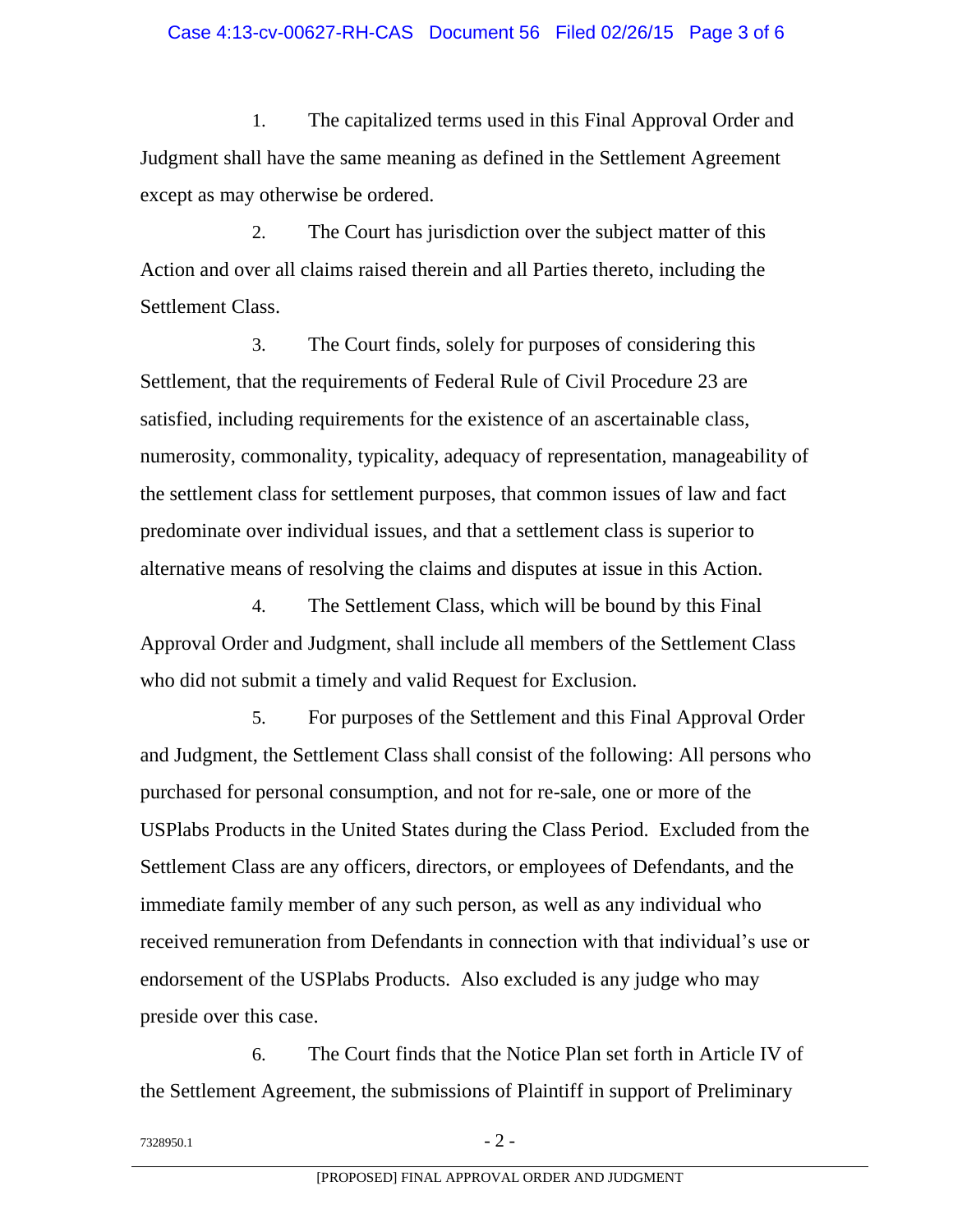## Case 4:13-cv-00627-RH-CAS Document 56 Filed 02/26/15 Page 3 of 6

1. The capitalized terms used in this Final Approval Order and Judgment shall have the same meaning as defined in the Settlement Agreement except as may otherwise be ordered.

2. The Court has jurisdiction over the subject matter of this Action and over all claims raised therein and all Parties thereto, including the Settlement Class.

3. The Court finds, solely for purposes of considering this Settlement, that the requirements of Federal Rule of Civil Procedure 23 are satisfied, including requirements for the existence of an ascertainable class, numerosity, commonality, typicality, adequacy of representation, manageability of the settlement class for settlement purposes, that common issues of law and fact predominate over individual issues, and that a settlement class is superior to alternative means of resolving the claims and disputes at issue in this Action.

4. The Settlement Class, which will be bound by this Final Approval Order and Judgment, shall include all members of the Settlement Class who did not submit a timely and valid Request for Exclusion.

5. For purposes of the Settlement and this Final Approval Order and Judgment, the Settlement Class shall consist of the following: All persons who purchased for personal consumption, and not for re-sale, one or more of the USPlabs Products in the United States during the Class Period. Excluded from the Settlement Class are any officers, directors, or employees of Defendants, and the immediate family member of any such person, as well as any individual who received remuneration from Defendants in connection with that individual's use or endorsement of the USPlabs Products. Also excluded is any judge who may preside over this case.

6. The Court finds that the Notice Plan set forth in Article IV of the Settlement Agreement, the submissions of Plaintiff in support of Preliminary

 $7328950.1$  - 2 -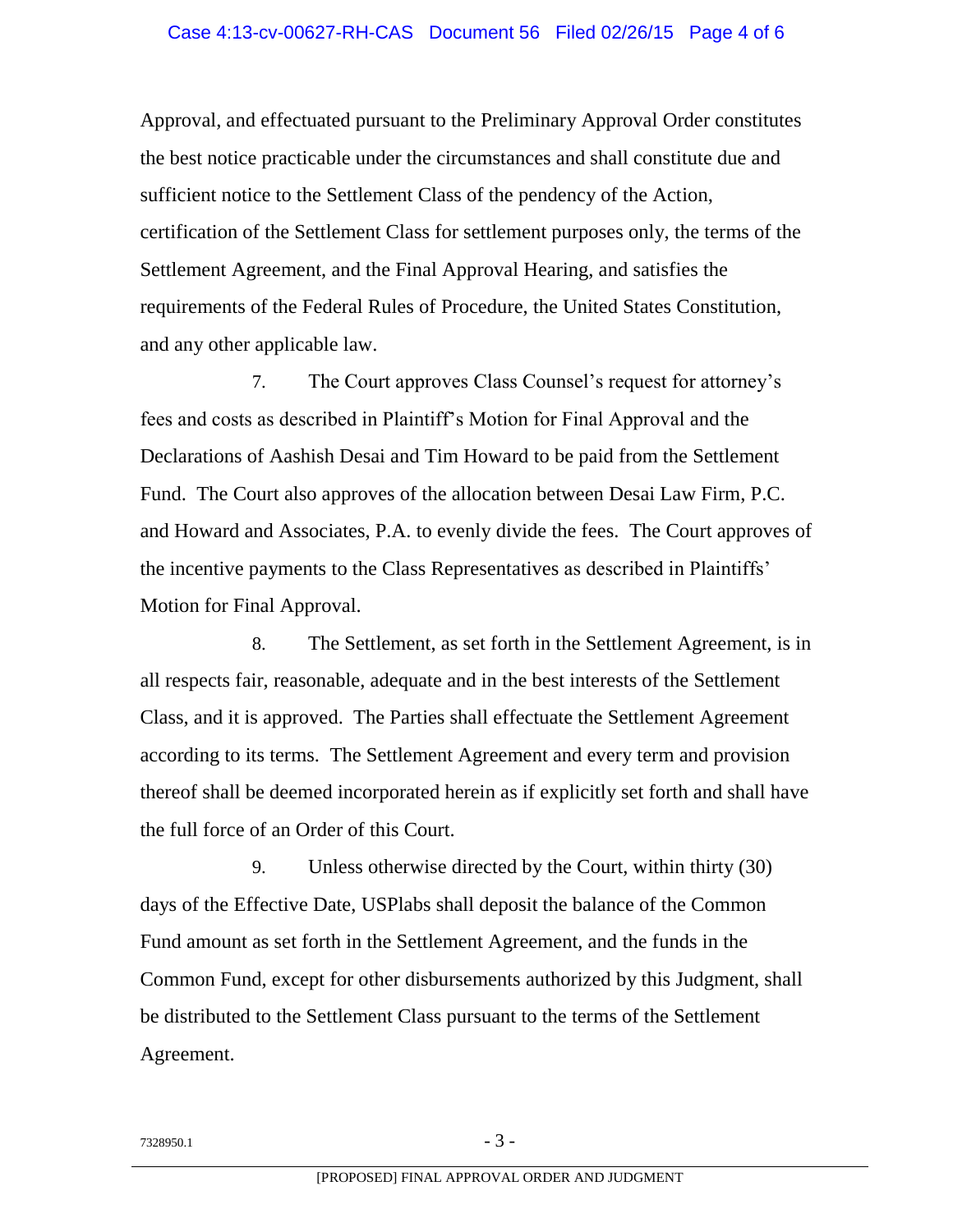Approval, and effectuated pursuant to the Preliminary Approval Order constitutes the best notice practicable under the circumstances and shall constitute due and sufficient notice to the Settlement Class of the pendency of the Action, certification of the Settlement Class for settlement purposes only, the terms of the Settlement Agreement, and the Final Approval Hearing, and satisfies the requirements of the Federal Rules of Procedure, the United States Constitution, and any other applicable law.

7. The Court approves Class Counsel's request for attorney's fees and costs as described in Plaintiff's Motion for Final Approval and the Declarations of Aashish Desai and Tim Howard to be paid from the Settlement Fund. The Court also approves of the allocation between Desai Law Firm, P.C. and Howard and Associates, P.A. to evenly divide the fees. The Court approves of the incentive payments to the Class Representatives as described in Plaintiffs' Motion for Final Approval.

8. The Settlement, as set forth in the Settlement Agreement, is in all respects fair, reasonable, adequate and in the best interests of the Settlement Class, and it is approved. The Parties shall effectuate the Settlement Agreement according to its terms. The Settlement Agreement and every term and provision thereof shall be deemed incorporated herein as if explicitly set forth and shall have the full force of an Order of this Court.

9. Unless otherwise directed by the Court, within thirty (30) days of the Effective Date, USPlabs shall deposit the balance of the Common Fund amount as set forth in the Settlement Agreement, and the funds in the Common Fund, except for other disbursements authorized by this Judgment, shall be distributed to the Settlement Class pursuant to the terms of the Settlement Agreement.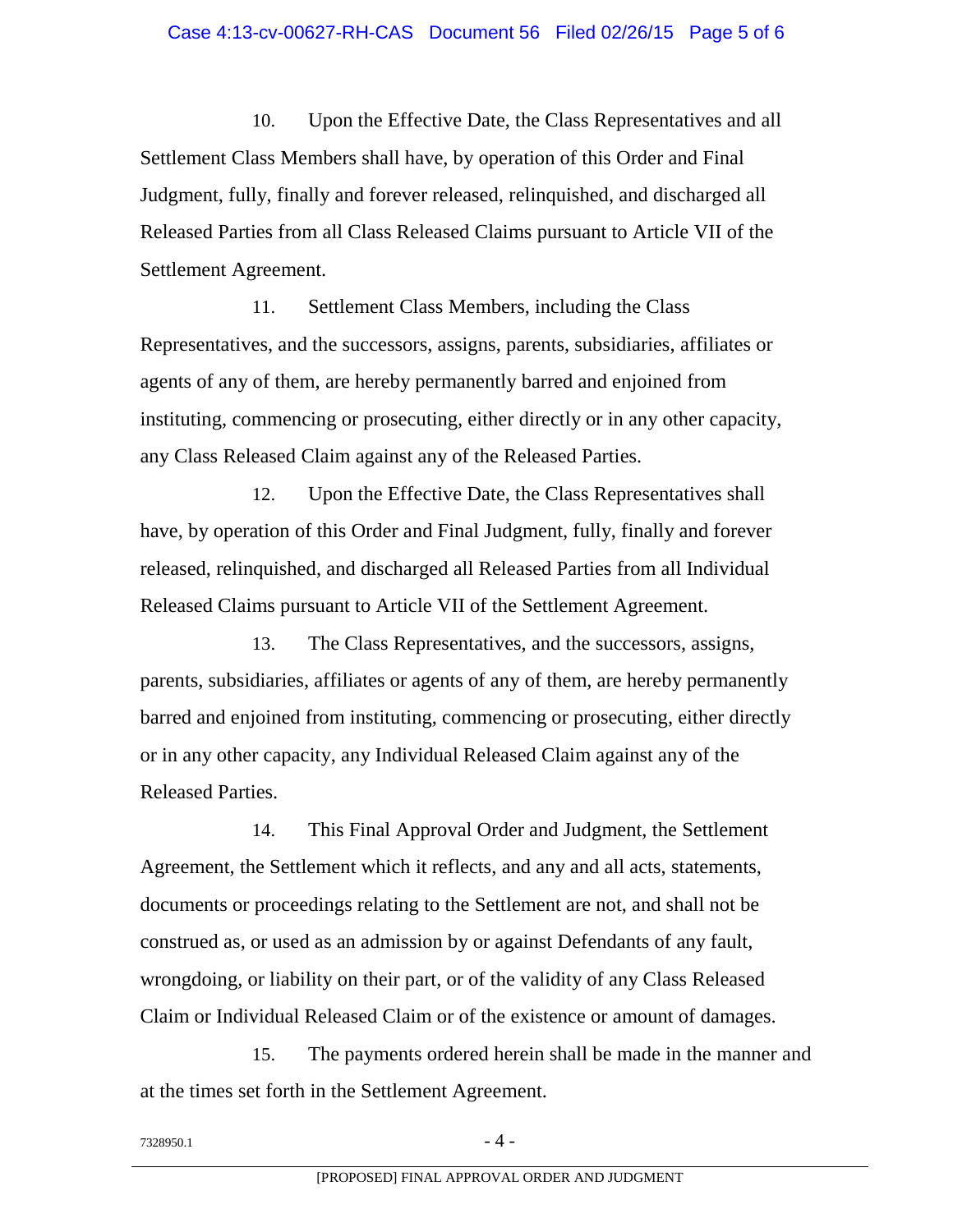10. Upon the Effective Date, the Class Representatives and all Settlement Class Members shall have, by operation of this Order and Final Judgment, fully, finally and forever released, relinquished, and discharged all Released Parties from all Class Released Claims pursuant to Article VII of the Settlement Agreement.

11. Settlement Class Members, including the Class Representatives, and the successors, assigns, parents, subsidiaries, affiliates or agents of any of them, are hereby permanently barred and enjoined from instituting, commencing or prosecuting, either directly or in any other capacity, any Class Released Claim against any of the Released Parties.

12. Upon the Effective Date, the Class Representatives shall have, by operation of this Order and Final Judgment, fully, finally and forever released, relinquished, and discharged all Released Parties from all Individual Released Claims pursuant to Article VII of the Settlement Agreement.

13. The Class Representatives, and the successors, assigns, parents, subsidiaries, affiliates or agents of any of them, are hereby permanently barred and enjoined from instituting, commencing or prosecuting, either directly or in any other capacity, any Individual Released Claim against any of the Released Parties.

14. This Final Approval Order and Judgment, the Settlement Agreement, the Settlement which it reflects, and any and all acts, statements, documents or proceedings relating to the Settlement are not, and shall not be construed as, or used as an admission by or against Defendants of any fault, wrongdoing, or liability on their part, or of the validity of any Class Released Claim or Individual Released Claim or of the existence or amount of damages.

15. The payments ordered herein shall be made in the manner and at the times set forth in the Settlement Agreement.

 $7328950.1$  - 4 -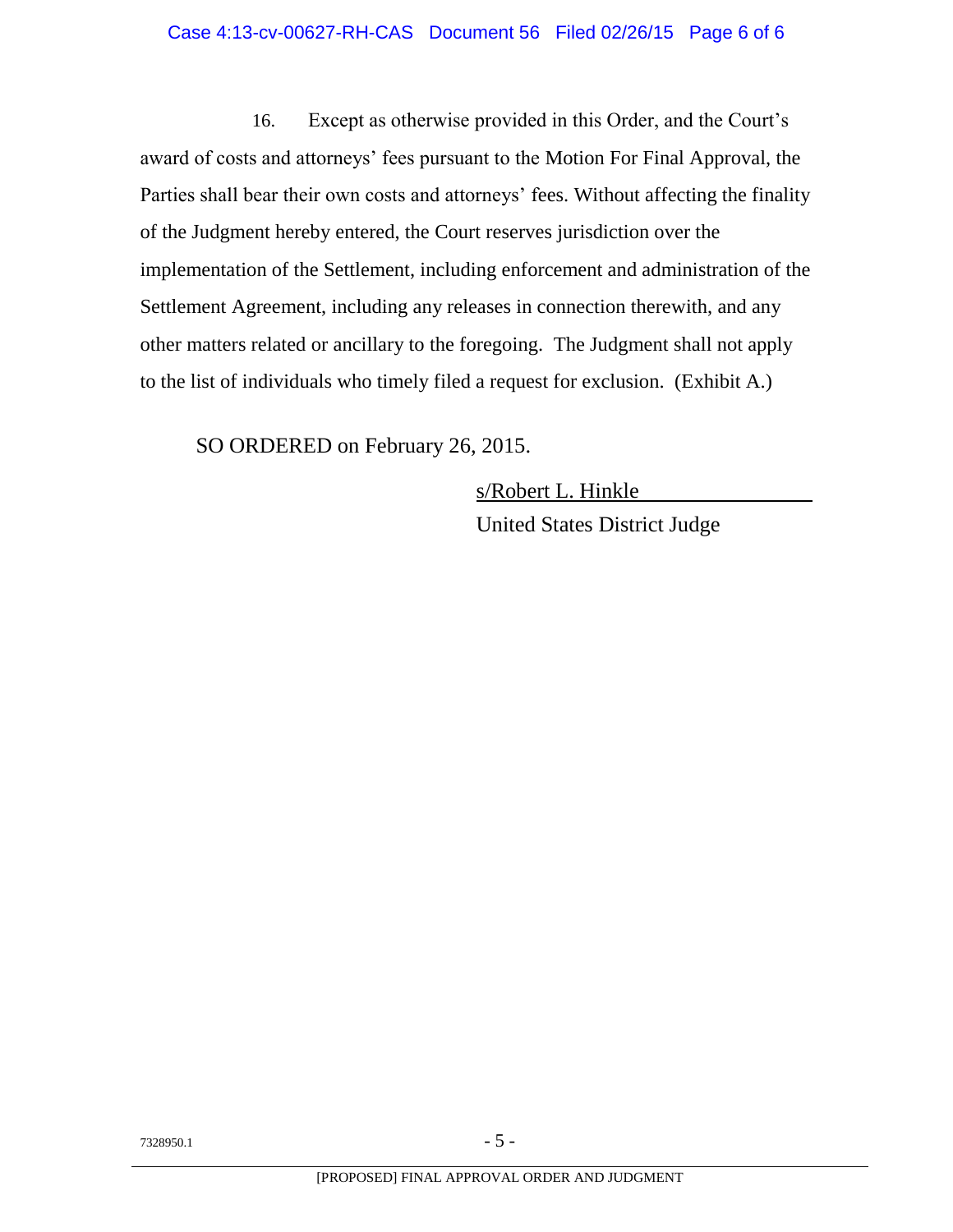16. Except as otherwise provided in this Order, and the Court's award of costs and attorneys' fees pursuant to the Motion For Final Approval, the Parties shall bear their own costs and attorneys' fees. Without affecting the finality of the Judgment hereby entered, the Court reserves jurisdiction over the implementation of the Settlement, including enforcement and administration of the Settlement Agreement, including any releases in connection therewith, and any other matters related or ancillary to the foregoing. The Judgment shall not apply to the list of individuals who timely filed a request for exclusion. (Exhibit A.)

SO ORDERED on February 26, 2015.

s/Robert L. Hinkle United States District Judge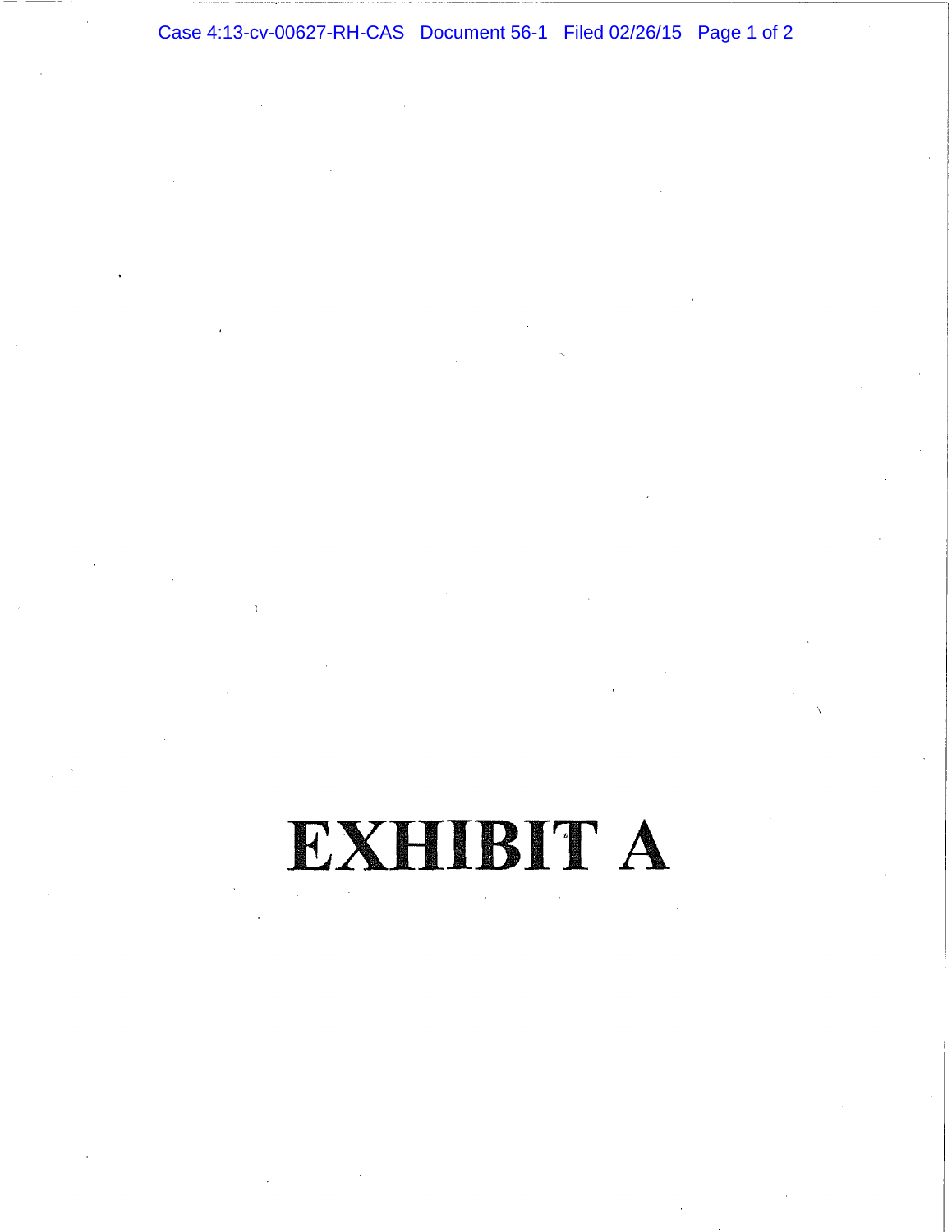Case 4:13-cv-00627-RH-CAS Document 56-1 Filed 02/26/15 Page 1 of 2

# EXHIBIT A